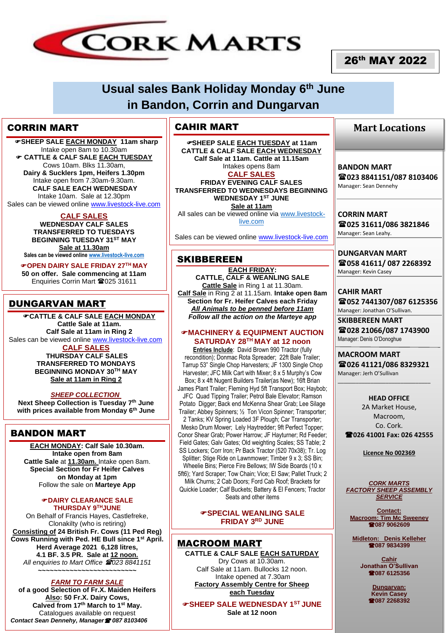

# 26th MAY 2022

# **Usual sales Bank Holiday Monday 6th June in Bandon, Corrin and Dungarvan**

## CORRIN MART

 **SHEEP SALE EACH MONDAY 11am sharp** Intake open 8am to 10.30am **CATTLE & CALF SALE EACH TUESDAY** Cows 10am. Blks 11.30am, **Dairy & Sucklers 1pm, Heifers 1.30pm** Intake open from 7.30am-9.30am. **CALF SALE EACH WEDNESDAY** Intake 10am. Sale at 12.30pm

Sales can be viewed online [www.livestock-live.com](http://www.livestock-live.com/)

**CALF SALES WEDNESDAY CALF SALES TRANSFERRED TO TUESDAYS BEGINNING TUESDAY 31ST MAY Sale at 11.30am Sales can be viewed online [www.livestock-live.com](http://www.livestock-live.com/)**

**OPEN DAIRY SALE FRIDAY 27TH MAY 50 on offer. Sale commencing at 11am** Enquiries Corrin Mart 2025 31611

# DUNGARVAN MART

**CATTLE & CALF SALE EACH MONDAY Cattle Sale at 11am. Calf Sale at 11am in Ring 2** Sales can be viewed online [www.livestock-live.com](http://www.livestock-live.com/) **CALF SALES THURSDAY CALF SALES** 

**TRANSFERRED TO MONDAYS BEGINNING MONDAY 30TH MAY Sale at 11am in Ring 2**

### *SHEEP COLLECTION*

**Next Sheep Collection is Tuesday 7 th June with prices available from Monday 6 th June**

## BANDON MART

**EACH MONDAY: Calf Sale 10.30am. Intake open from 8am Cattle Sale** at **11.30am.** Intake open 8am. **Special Section for Fr Heifer Calves on Monday at 1pm** Follow the sale on **Marteye App**

#### **DAIRY CLEARANCE SALE THURSDAY 9 THJUNE**

On Behalf of Francis Hayes, Castlefreke, Clonakilty (who is retiring) **Consisting of 24 British Fr. Cows (11 Ped Reg) Cows Running with Ped. HE Bull since 1st April. Herd Average 2021 6,128 litres, 4.1 BF. 3.5 PR. Sale at 12 noon.** *All enquiries to Mart Office 023 8841151* **~~~~~~~~~~~~~~~~~~~~~~~~~**

#### *FARM TO FARM SALE*

**of a good Selection of Fr.X. Maiden Heifers Also: 50 Fr.X. Dairy Cows, Calved from 17th March to 1st May.** Catalogues available on request *Contact Sean Dennehy, Manager 087 8103406*

## CAHIR MART

**SHEEP SALE EACH TUESDAY at 11am CATTLE & CALF SALE EACH WEDNESDAY Calf Sale at 11am. Cattle at 11.15am** Intakes opens 8am **CALF SALES FRIDAY EVENING CALF SALES** 

**TRANSFERRED TO WEDNESDAYS BEGINNING WEDNESDAY 1ST JUNE Sale at 11am**

All sales can be viewed online vi[a www.livestock](http://www.livestock-live.com/)[live.com](http://www.livestock-live.com/)

Sales can be viewed online [www.livestock-live.com](http://www.livestock-live.com/)

# **SKIBBEREEN**

**EACH FRIDAY: CATTLE, CALF & WEANLING SALE Cattle Sale** in Ring 1 at 11.30am. **Calf Sale** in Ring 2 at 11.15am. **Intake open 8am Section for Fr. Heifer Calves each Friday** *All Animals to be penned before 11am Follow all the action on the Marteye app*

#### **MACHINERY & EQUIPMENT AUCTION SATURDAY 28TH MAY at 12 noon**

**Entries Include**: David Brown 990 Tractor (fully recondition); Donmac Rota Spreader; 22ft Bale Trailer; Tarrup 53" Single Chop Harvesters; JF 1300 Single Chop Harvester; JFC Milk Cart with Mixer; 8 x 5 Murphy's Cow Box; 8 x 4ft Nugent Builders Trailer(as New); 16ft Brian James Plant Trailer; Fleming Hyd 5ft Transport Box; Haybob; JFC Quad Tipping Trailer; Petrol Bale Elevator; Ramson Potato Digger; Back end McKenna Shear Grab; Lee Silage Trailer; Abbey Spinners; ½ Ton Vicon Spinner; Transporter; 2 Tanks; KV Spring Loaded 3F Plough; Car Transporter; Mesko Drum Mower; Lely Haytredder; 9ft Perfect Topper; Conor Shear Grab; Power Harrow; JF Hayturner; Rd Feeder; Field Gates; Galv Gates; Old weighting Scales; SS Table; 2 SS Lockers; Corr Iron; Pr Back Tractor (520 70x38); Tr. Log Splitter: Stige Ride on Lawnmower: Timber 9 x 3: SS Bin; Wheelie Bins; Pierce Fire Bellows; IW Side Boards (10 x 5ft6); Yard Scraper; Tow Chain; Vice; El Saw; Pallet Truck; 2

Milk Churns; 2 Cab Doors; Ford Cab Roof; Brackets for Quickie Loader; Calf Buckets; Battery & El Fencers; Tractor Seats and other items

#### **SPECIAL WEANLING SALE FRIDAY 3RD JUNE**

### MACROOM MART

**CATTLE & CALF SALE EACH SATURDAY** Dry Cows at 10.30am. Calf Sale at 11am. Bullocks 12 noon. Intake opened at 7.30am **Factory Assembly Centre for Sheep each Tuesday**

**SHEEP SALE WEDNESDAY 1ST JUNE Sale at 12 noon**

## **Mart Locations**

**BANDON MART 023 8841151/087 8103406** Manager: Sean Dennehy

**CORRIN MART 025 31611/086 3821846** Manager: Sean Leahy.

**DUNGARVAN MART 058 41611/ 087 2268392** Manager: Kevin Casey

**CAHIR MART 052 7441307/087 6125356** Manager: Jonathan O'Sullivan.

**SKIBBEREEN MART 028 21066/087 1743900** Manager: Denis O'Donoghue

**MACROOM MART 026 41121/086 8329321** Manager: Jerh O'Sullivan

 $\overline{\phantom{a}}$  , which is a set of the set of the set of the set of the set of the set of the set of the set of the set of the set of the set of the set of the set of the set of the set of the set of the set of the set of th

**HEAD OFFICE** 2A Market House, Macroom, Co. Cork. **026 41001 Fax: 026 42555**

**Licence No 002369**

*CORK MARTS FACTORY SHEEP ASSEMBLY SERVICE*

**Contact: Macroom: Tim Mc Sweeney 087 9062609**

**Midleton: Denis Kelleher 087 9834399**

> **Cahir Jonathan O'Sullivan 28087 6125356**

> > **Dungarvan: Kevin Casey 087 2268392**